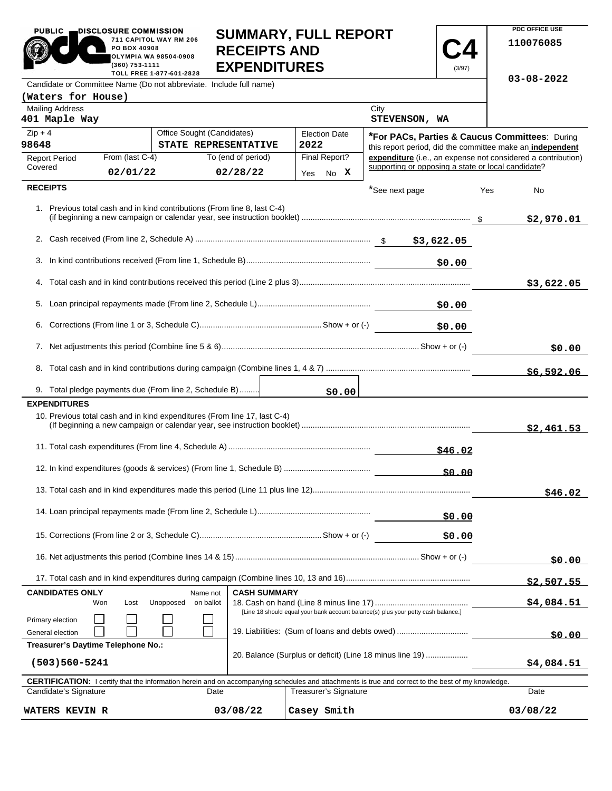| <b>PUBLIC</b><br>DISCLOSURE COMMISSION<br>711 CAPITOL WAY RM 206<br>PO BOX 40908<br>OLYMPIA WA 98504-0908<br>(360) 753-1111<br>TOLL FREE 1-877-601-2828 |                             |                                                                           | <b>SUMMARY, FULL REPORT</b><br><b>RECEIPTS AND</b><br><b>EXPENDITURES</b> |                                                                                                                        | (3/97)       | <b>PDC OFFICE USE</b><br>110076085 |            |
|---------------------------------------------------------------------------------------------------------------------------------------------------------|-----------------------------|---------------------------------------------------------------------------|---------------------------------------------------------------------------|------------------------------------------------------------------------------------------------------------------------|--------------|------------------------------------|------------|
|                                                                                                                                                         |                             | Candidate or Committee Name (Do not abbreviate. Include full name)        |                                                                           |                                                                                                                        |              | $03 - 08 - 2022$                   |            |
| (Waters for House)<br><b>Mailing Address</b><br>401 Maple Way                                                                                           |                             |                                                                           |                                                                           | City<br>STEVENSON, WA                                                                                                  |              |                                    |            |
| $Zip + 4$                                                                                                                                               |                             | Office Sought (Candidates)                                                | <b>Election Date</b>                                                      |                                                                                                                        |              |                                    |            |
| 98648                                                                                                                                                   |                             | STATE REPRESENTATIVE                                                      | 2022                                                                      | <b>*For PACs, Parties &amp; Caucus Committees: During</b><br>this report period, did the committee make an independent |              |                                    |            |
| <b>Report Period</b><br>Covered                                                                                                                         | From (last C-4)<br>02/01/22 | To (end of period)<br>02/28/22                                            | Final Report?<br>No X<br>Yes                                              | expenditure (i.e., an expense not considered a contribution)<br>supporting or opposing a state or local candidate?     |              |                                    |            |
| <b>RECEIPTS</b>                                                                                                                                         |                             |                                                                           |                                                                           |                                                                                                                        |              |                                    |            |
|                                                                                                                                                         |                             |                                                                           |                                                                           | *See next page                                                                                                         |              | Yes<br>No                          |            |
|                                                                                                                                                         |                             | 1. Previous total cash and in kind contributions (From line 8, last C-4)  |                                                                           |                                                                                                                        |              |                                    | \$2,970.01 |
|                                                                                                                                                         |                             |                                                                           |                                                                           | \$3,622.05                                                                                                             |              |                                    |            |
|                                                                                                                                                         |                             |                                                                           |                                                                           |                                                                                                                        | \$0.00       |                                    |            |
|                                                                                                                                                         |                             |                                                                           |                                                                           |                                                                                                                        |              |                                    | \$3,622.05 |
|                                                                                                                                                         |                             |                                                                           |                                                                           |                                                                                                                        | \$0.00       |                                    |            |
|                                                                                                                                                         |                             |                                                                           |                                                                           |                                                                                                                        | \$0.00       |                                    |            |
|                                                                                                                                                         |                             |                                                                           |                                                                           | \$0.00                                                                                                                 |              |                                    |            |
|                                                                                                                                                         |                             |                                                                           |                                                                           |                                                                                                                        |              |                                    | \$6,592.06 |
|                                                                                                                                                         |                             | 9. Total pledge payments due (From line 2, Schedule B)                    | \$0.00                                                                    |                                                                                                                        |              |                                    |            |
| <b>EXPENDITURES</b>                                                                                                                                     |                             | 10. Previous total cash and in kind expenditures (From line 17, last C-4) |                                                                           |                                                                                                                        |              |                                    |            |
|                                                                                                                                                         |                             |                                                                           |                                                                           |                                                                                                                        |              |                                    | \$2,461.53 |
|                                                                                                                                                         |                             |                                                                           |                                                                           |                                                                                                                        | \$46.02      |                                    |            |
|                                                                                                                                                         |                             |                                                                           |                                                                           |                                                                                                                        | <b>SO 00</b> |                                    |            |
|                                                                                                                                                         |                             |                                                                           |                                                                           |                                                                                                                        |              |                                    | \$46.02    |
|                                                                                                                                                         |                             | \$0.00                                                                    |                                                                           |                                                                                                                        |              |                                    |            |
|                                                                                                                                                         |                             |                                                                           |                                                                           |                                                                                                                        | \$0.00       |                                    |            |
|                                                                                                                                                         |                             |                                                                           |                                                                           |                                                                                                                        |              |                                    | \$0.00     |
|                                                                                                                                                         |                             |                                                                           |                                                                           |                                                                                                                        |              |                                    | \$2,507.55 |
| <b>CASH SUMMARY</b><br><b>CANDIDATES ONLY</b><br>Name not<br>Unopposed<br>on ballot<br>Won<br>Lost                                                      |                             |                                                                           |                                                                           |                                                                                                                        |              |                                    | \$4,084.51 |
| [Line 18 should equal your bank account balance(s) plus your petty cash balance.]                                                                       |                             |                                                                           |                                                                           |                                                                                                                        |              |                                    |            |
| Primary election<br>19. Liabilities: (Sum of loans and debts owed)<br>General election                                                                  |                             |                                                                           |                                                                           |                                                                                                                        |              | \$0.00                             |            |
| Treasurer's Daytime Telephone No.:                                                                                                                      |                             |                                                                           |                                                                           |                                                                                                                        |              |                                    |            |
| 20. Balance (Surplus or deficit) (Line 18 minus line 19)                                                                                                |                             |                                                                           |                                                                           |                                                                                                                        |              |                                    |            |

**PDC OFFICE USE** 

| (503)560-5241                                                                                                                                              |          |                       | \$4,084.51 |  |  |  |  |  |  |
|------------------------------------------------------------------------------------------------------------------------------------------------------------|----------|-----------------------|------------|--|--|--|--|--|--|
| <b>CERTIFICATION:</b> I certify that the information herein and on accompanying schedules and attachments is true and correct to the best of my knowledge. |          |                       |            |  |  |  |  |  |  |
| Candidate's Signature                                                                                                                                      | Date     | Treasurer's Signature | Date       |  |  |  |  |  |  |
| <b>WATERS KEVIN R</b>                                                                                                                                      | 03/08/22 | Casey Smith           | 03/08/22   |  |  |  |  |  |  |